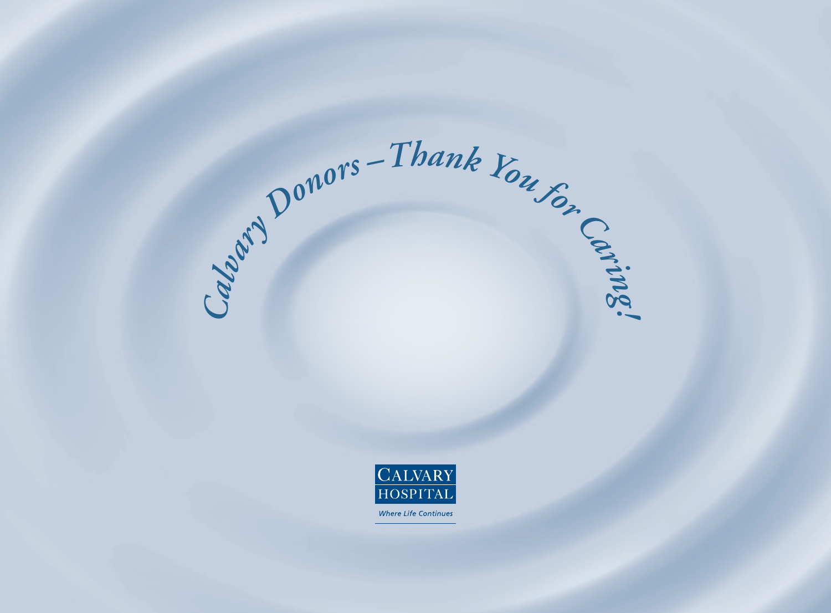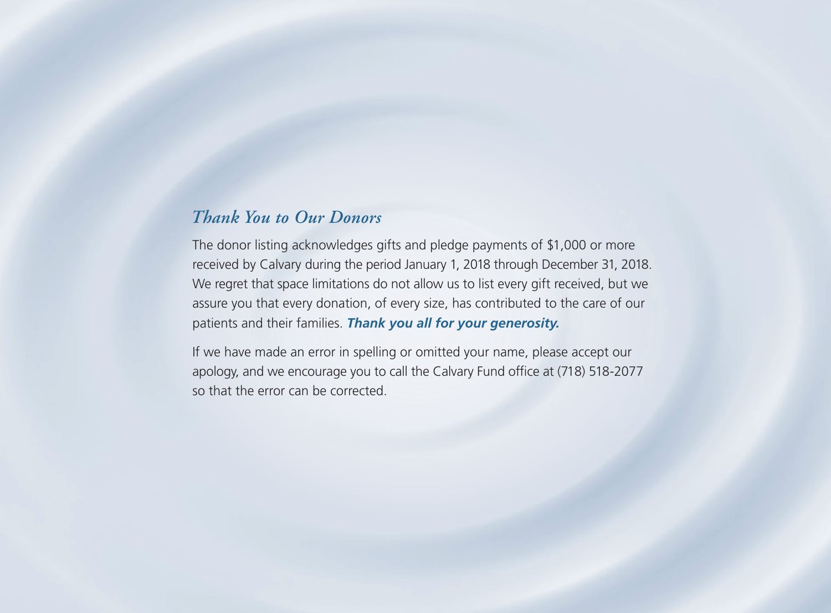# *Thank You to Our Donors*

The donor listing acknowledges gifts and pledge payments of \$1,000 or more received by Calvary during the period January 1, 2018 through December 31, 2018. We regret that space limitations do not allow us to list every gift received, but we assure you that every donation, of every size, has contributed to the care of our patients and their families. *Thank you all for your generosity.*

If we have made an error in spelling or omitted your name, please accept our apology, and we encourage you to call the Calvary Fund office at (718) 518-2077 so that the error can be corrected.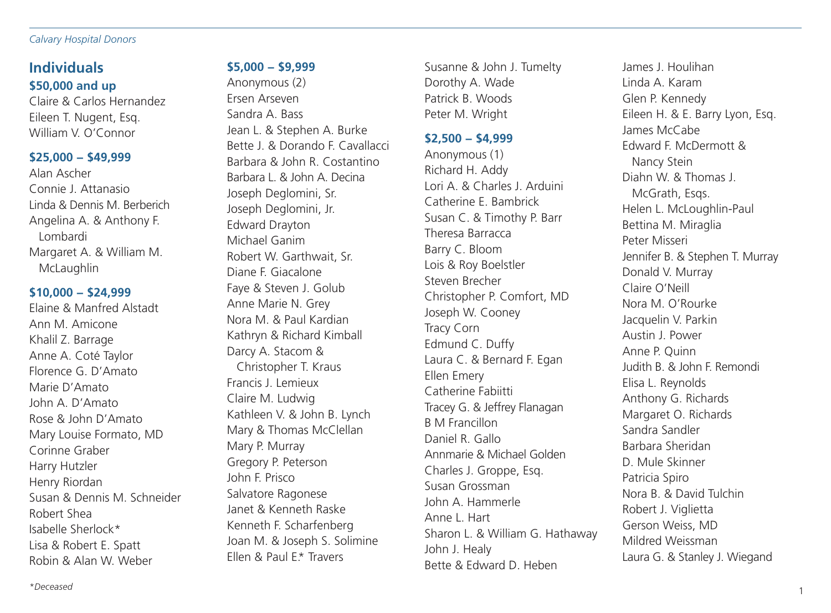#### *Calvary Hospital Donors*

# **Individuals \$50,000 and up**

Claire & Carlos Hernandez Eileen T. Nugent, Esq. William V. O'Connor

### **\$25,000 − \$49,999**

Alan Ascher Connie J. Attanasio Linda & Dennis M. Berberich Angelina A. & Anthony F. Lombardi Margaret A. & William M. McLaughlin

### **\$10,000 − \$24,999**

Elaine & Manfred Alstadt Ann M. Amicone Khalil Z. Barrage Anne A. Coté Taylor Florence G. D'Amato Marie D'Amato John A. D'Amato Rose & John D'Amato Mary Louise Formato, MD Corinne Graber Harry Hutzler Henry Riordan Susan & Dennis M. Schneider Robert Shea Isabelle Sherlock\* Lisa & Robert E. Spatt Robin & Alan W. Weber

### **\$5,000 − \$9,999**

Anonymous (2) Ersen Arseven Sandra A. Bass Jean L. & Stephen A. Burke Bette J. & Dorando F. Cavallacci Barbara & John R. Costantino Barbara L. & John A. Decina Joseph Deglomini, Sr. Joseph Deglomini, Jr. Edward Drayton Michael Ganim Robert W. Garthwait, Sr. Diane F. Giacalone Faye & Steven J. Golub Anne Marie N. Grey Nora M. & Paul Kardian Kathryn & Richard Kimball Darcy A. Stacom & Christopher T. Kraus Francis J. Lemieux Claire M. Ludwig Kathleen V. & John B. Lynch Mary & Thomas McClellan Mary P. Murray Gregory P. Peterson John F. Prisco Salvatore Ragonese Janet & Kenneth Raske Kenneth F. Scharfenberg Joan M. & Joseph S. Solimine Ellen & Paul E.\* Travers

Susanne & John J. Tumelty Dorothy A. Wade Patrick B. Woods Peter M. Wright

### **\$2,500 − \$4,999**

Anonymous (1) Richard H. Addy Lori A. & Charles J. Arduini Catherine E. Bambrick Susan C. & Timothy P. Barr Theresa Barracca Barry C. Bloom Lois & Roy Boelstler Steven Brecher Christopher P. Comfort, MD Joseph W. Cooney Tracy Corn Edmund C. Duffy Laura C. & Bernard F. Egan Ellen Emery Catherine Fabiitti Tracey G. & Jeffrey Flanagan B M Francillon Daniel R. Gallo Annmarie & Michael Golden Charles J. Groppe, Esq. Susan Grossman John A. Hammerle Anne L. Hart Sharon L. & William G. Hathaway John J. Healy Bette & Edward D. Heben

James J. Houlihan Linda A. Karam Glen P. Kennedy Eileen H. & E. Barry Lyon, Esq. James McCabe Edward F. McDermott & Nancy Stein Diahn W. & Thomas J. McGrath, Esqs. Helen L. McLoughlin-Paul Bettina M. Miraglia Peter Misseri Jennifer B. & Stephen T. Murray Donald V. Murray Claire O'Neill Nora M. O'Rourke Jacquelin V. Parkin Austin J. Power Anne P. Quinn Judith B. & John F. Remondi Elisa L. Reynolds Anthony G. Richards Margaret O. Richards Sandra Sandler Barbara Sheridan D. Mule Skinner Patricia Spiro Nora B. & David Tulchin Robert J. Viglietta Gerson Weiss, MD Mildred Weissman Laura G. & Stanley J. Wiegand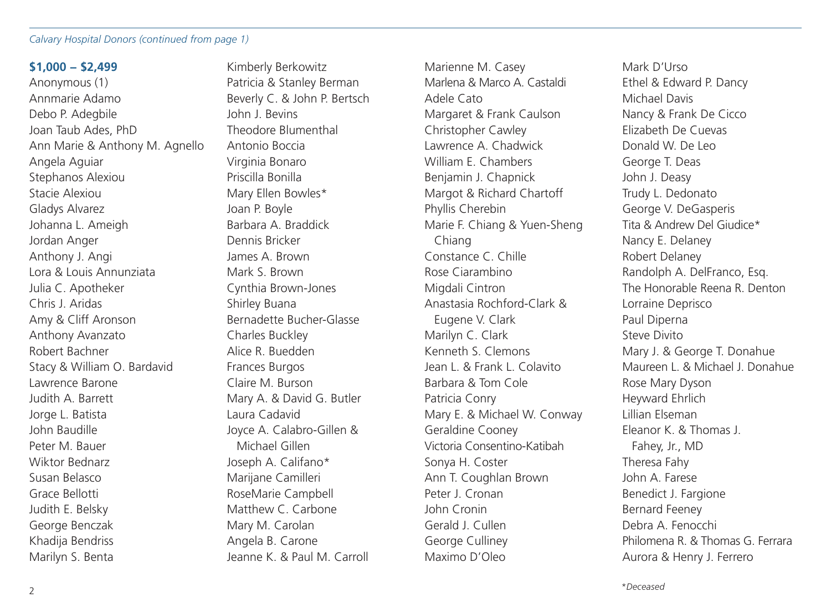#### *Calvary Hospital Donors (continued from page 1)*

#### **\$1,000 − \$2,499**

Anonymous (1) Annmarie Adamo Debo P. Adegbile Joan Taub Ades, PhD Ann Marie & Anthony M. Agnello Angela Aguiar Stephanos Alexiou Stacie Alexiou Gladys Alvarez Johanna L. Ameigh Jordan Anger Anthony J. Angi Lora & Louis Annunziata Julia C. Apotheker Chris J. Aridas Amy & Cliff Aronson Anthony Avanzato Robert Bachner Stacy & William O. Bardavid Lawrence Barone Judith A. Barrett Jorge L. Batista John Baudille Peter M. Bauer Wiktor Bednarz Susan Belasco Grace Bellotti Judith E. Belsky George Benczak Khadija Bendriss Marilyn S. Benta

Kimberly Berkowitz Patricia & Stanley Berman Beverly C. & John P. Bertsch John J. Bevins Theodore Blumenthal Antonio Boccia Virginia Bonaro Priscilla Bonilla Mary Ellen Bowles\* Joan P. Boyle Barbara A. Braddick Dennis Bricker James A. Brown Mark S. Brown Cynthia Brown-Jones Shirley Buana Bernadette Bucher-Glasse Charles Buckley Alice R. Buedden Frances Burgos Claire M. Burson Mary A. & David G. Butler Laura Cadavid Joyce A. Calabro-Gillen & Michael Gillen Joseph A. Califano\* Marijane Camilleri RoseMarie Campbell Matthew C. Carbone Mary M. Carolan Angela B. Carone Jeanne K. & Paul M. Carroll

Marienne M. Casey Marlena & Marco A. Castaldi Adele Cato Margaret & Frank Caulson Christopher Cawley Lawrence A. Chadwick William E. Chambers Benjamin J. Chapnick Margot & Richard Chartoff Phyllis Cherebin Marie F. Chiang & Yuen-Sheng Chiang Constance C. Chille Rose Ciarambino Migdali Cintron Anastasia Rochford-Clark & Eugene V. Clark Marilyn C. Clark Kenneth S. Clemons Jean L. & Frank L. Colavito Barbara & Tom Cole Patricia Conry Mary E. & Michael W. Conway Geraldine Cooney Victoria Consentino-Katibah Sonya H. Coster Ann T. Coughlan Brown Peter J. Cronan John Cronin Gerald J. Cullen George Culliney Maximo D'Oleo

Mark D'Urso Ethel & Edward P. Dancy Michael Davis Nancy & Frank De Cicco Elizabeth De Cuevas Donald W. De Leo George T. Deas John J. Deasy Trudy L. Dedonato George V. DeGasperis Tita & Andrew Del Giudice\* Nancy E. Delaney Robert Delaney Randolph A. DelFranco, Esq. The Honorable Reena R. Denton Lorraine Deprisco Paul Diperna Steve Divito Mary J. & George T. Donahue Maureen L. & Michael J. Donahue Rose Mary Dyson Heyward Ehrlich Lillian Elseman Eleanor K. & Thomas J. Fahey, Jr., MD Theresa Fahy John A. Farese Benedict J. Fargione Bernard Feeney Debra A. Fenocchi Philomena R. & Thomas G. Ferrara Aurora & Henry J. Ferrero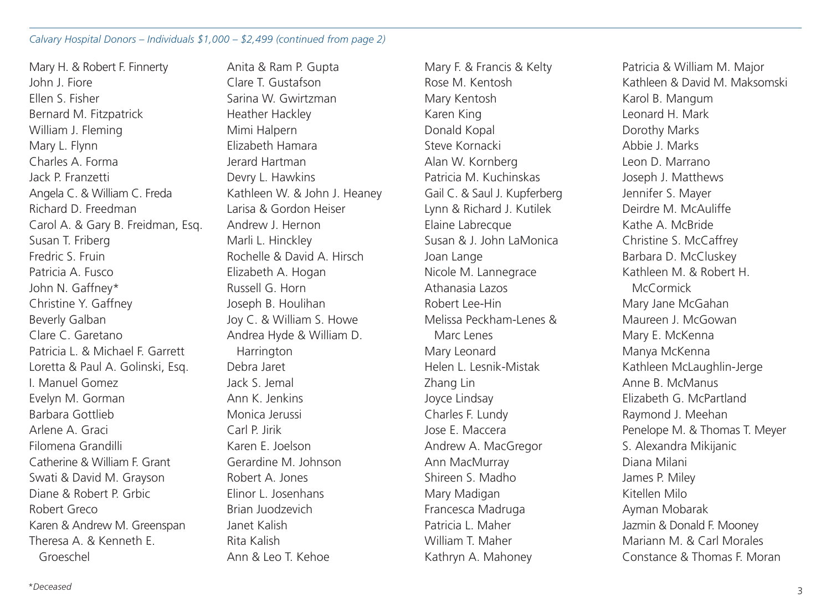#### *Calvary Hospital Donors – Individuals \$1,000 – \$2,499 (continued from page 2)*

Mary H. & Robert F. Finnerty John J. Fiore Ellen S. Fisher Bernard M. Fitzpatrick William J. Fleming Mary L. Flynn Charles A. Forma Jack P. Franzetti Angela C. & William C. Freda Richard D. Freedman Carol A. & Gary B. Freidman, Esq. Susan T. Friberg Fredric S. Fruin Patricia A. Fusco John N. Gaffney\* Christine Y. Gaffney Beverly Galban Clare C. Garetano Patricia L. & Michael F. Garrett Loretta & Paul A. Golinski, Esq. I. Manuel Gomez Evelyn M. Gorman Barbara Gottlieb Arlene A. Graci Filomena Grandilli Catherine & William F. Grant Swati & David M. Grayson Diane & Robert P. Grbic Robert Greco Karen & Andrew M. Greenspan Theresa A & Kenneth F Groeschel

Anita & Ram P. Gupta Clare T. Gustafson Sarina W. Gwirtzman Heather Hackley Mimi Halpern Elizabeth Hamara Jerard Hartman Devry L. Hawkins Kathleen W. & John J. Heaney Larisa & Gordon Heiser Andrew J. Hernon Marli L. Hinckley Rochelle & David A. Hirsch Elizabeth A. Hogan Russell G. Horn Joseph B. Houlihan Joy C. & William S. Howe Andrea Hyde & William D. **Harrington** Debra Jaret Jack S. Jemal Ann K. Jenkins Monica Jerussi Carl P. Jirik Karen E. Joelson Gerardine M. Johnson Robert A. Jones Elinor L. Josenhans Brian Juodzevich Janet Kalish Rita Kalish Ann & Leo T. Kehoe

Mary F. & Francis & Kelty Rose M. Kentosh Mary Kentosh Karen King Donald Kopal Steve Kornacki Alan W. Kornberg Patricia M. Kuchinskas Gail C. & Saul J. Kupferberg Lynn & Richard J. Kutilek Elaine Labrecque Susan & J. John LaMonica Joan Lange Nicole M. Lannegrace Athanasia Lazos Robert Lee-Hin Melissa Peckham-Lenes & Marc Lenes Mary Leonard Helen L. Lesnik-Mistak Zhang Lin Joyce Lindsay Charles F. Lundy Jose E. Maccera Andrew A. MacGregor Ann MacMurray Shireen S. Madho Mary Madigan Francesca Madruga Patricia L. Maher William T. Maher Kathryn A. Mahoney

Patricia & William M. Major Kathleen & David M. Maksomski Karol B. Mangum Leonard H. Mark Dorothy Marks Abbie J. Marks Leon D. Marrano Joseph J. Matthews Jennifer S. Mayer Deirdre M. McAuliffe Kathe A. McBride Christine S. McCaffrey Barbara D. McCluskey Kathleen M. & Robert H. McCormick Mary Jane McGahan Maureen J. McGowan Mary E. McKenna Manya McKenna Kathleen McLaughlin-Jerge Anne B. McManus Elizabeth G. McPartland Raymond J. Meehan Penelope M. & Thomas T. Meyer S. Alexandra Mikijanic Diana Milani James P. Miley Kitellen Milo Ayman Mobarak Jazmin & Donald F. Mooney Mariann M. & Carl Morales Constance & Thomas F. Moran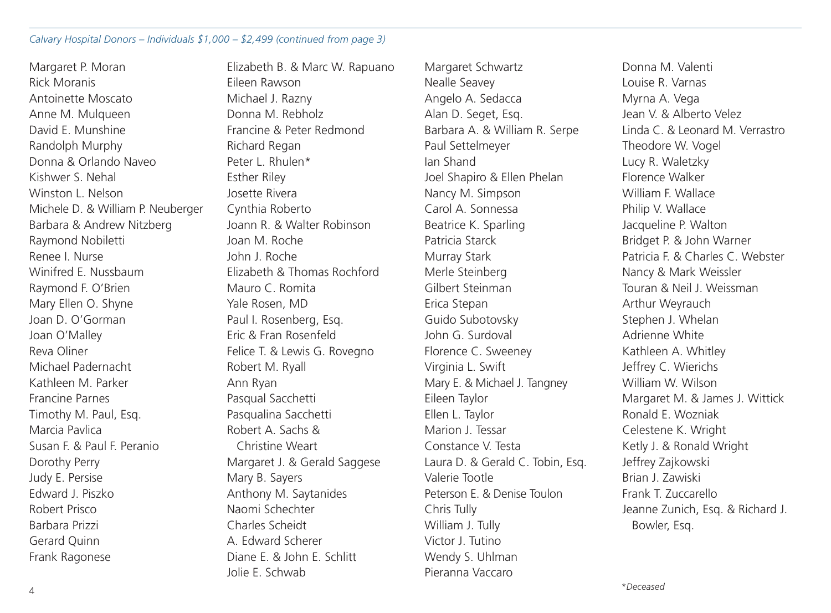#### *Calvary Hospital Donors – Individuals \$1,000 – \$2,499 (continued from page 3)*

Margaret P. Moran Rick Moranis Antoinette Moscato Anne M. Mulqueen David E. Munshine Randolph Murphy Donna & Orlando Naveo Kishwer S. Nehal Winston L. Nelson Michele D. & William P. Neuberger Barbara & Andrew Nitzberg Raymond Nobiletti Renee I. Nurse Winifred F. Nussbaum Raymond F. O'Brien Mary Ellen O. Shyne Joan D. O'Gorman Joan O'Malley Reva Oliner Michael Padernacht Kathleen M. Parker Francine Parnes Timothy M. Paul, Esq. Marcia Pavlica Susan F. & Paul F. Peranio Dorothy Perry Judy E. Persise Edward J. Piszko Robert Prisco Barbara Prizzi Gerard Quinn Frank Ragonese

Elizabeth B. & Marc W. Rapuano Eileen Rawson Michael J. Razny Donna M. Rebholz Francine & Peter Redmond Richard Regan Peter L. Rhulen\* Esther Riley Josette Rivera Cynthia Roberto Joann R. & Walter Robinson Joan M. Roche John J. Roche Elizabeth & Thomas Rochford Mauro C. Romita Yale Rosen, MD Paul I. Rosenberg, Esq. Eric & Fran Rosenfeld Felice T. & Lewis G. Rovegno Robert M. Ryall Ann Ryan Pasqual Sacchetti Pasqualina Sacchetti Robert A. Sachs & Christine Weart Margaret J. & Gerald Saggese Mary B. Sayers Anthony M. Saytanides Naomi Schechter Charles Scheidt A. Edward Scherer Diane E. & John E. Schlitt Jolie E. Schwab

Margaret Schwartz Nealle Seavey Angelo A. Sedacca Alan D. Seget, Esq. Barbara A. & William R. Serpe Paul Settelmeyer Ian Shand Joel Shapiro & Ellen Phelan Nancy M. Simpson Carol A. Sonnessa Beatrice K. Sparling Patricia Starck Murray Stark Merle Steinberg Gilbert Steinman Erica Stepan Guido Subotovsky John G. Surdoval Florence C. Sweeney Virginia L. Swift Mary E. & Michael J. Tangney Eileen Taylor Ellen L. Taylor Marion J. Tessar Constance V. Testa Laura D. & Gerald C. Tobin, Esq. Valerie Tootle Peterson E. & Denise Toulon Chris Tully William J. Tully Victor J. Tutino Wendy S. Uhlman Pieranna Vaccaro

Donna M. Valenti Louise R. Varnas Myrna A. Vega Jean V. & Alberto Velez Linda C. & Leonard M. Verrastro Theodore W. Vogel Lucy R. Waletzky Florence Walker William F. Wallace Philip V. Wallace Jacqueline P. Walton Bridget P. & John Warner Patricia F. & Charles C. Webster Nancy & Mark Weissler Touran & Neil J. Weissman Arthur Weyrauch Stephen J. Whelan Adrienne White Kathleen A. Whitley Jeffrey C. Wierichs William W. Wilson Margaret M. & James J. Wittick Ronald E. Wozniak Celestene K. Wright Ketly J. & Ronald Wright Jeffrey Zajkowski Brian J. Zawiski Frank T. Zuccarello Jeanne Zunich, Esq. & Richard J. Bowler, Esq.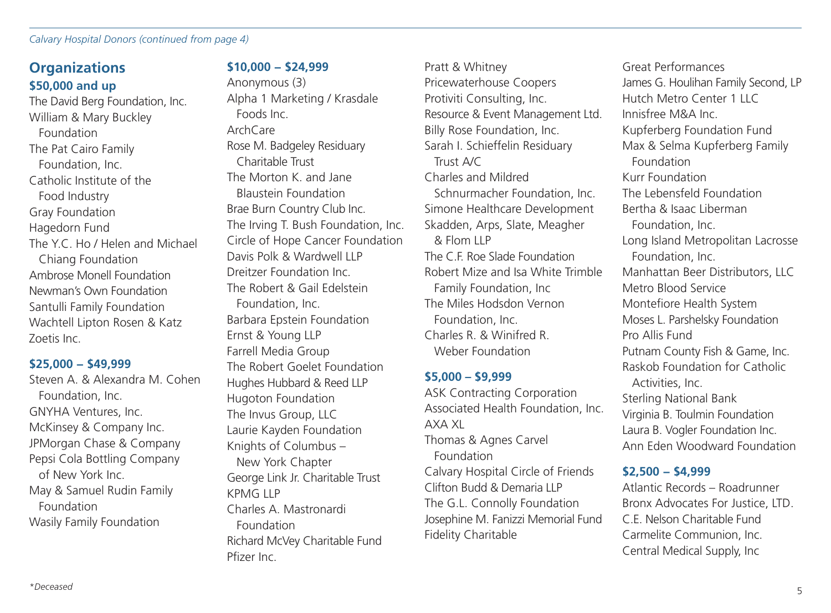#### *Calvary Hospital Donors (continued from page 4)*

# **Organizations \$50,000 and up**

The David Berg Foundation, Inc. William & Mary Buckley Foundation The Pat Cairo Family Foundation, Inc. Catholic Institute of the Food Industry Gray Foundation Hagedorn Fund The Y.C. Ho / Helen and Michael Chiang Foundation Ambrose Monell Foundation Newman's Own Foundation Santulli Family Foundation Wachtell Lipton Rosen & Katz Zoetis Inc.

#### **\$25,000 − \$49,999**

Steven A. & Alexandra M. Cohen Foundation, Inc. GNYHA Ventures, Inc. McKinsey & Company Inc. JPMorgan Chase & Company Pepsi Cola Bottling Company of New York Inc. May & Samuel Rudin Family Foundation Wasily Family Foundation

### **\$10,000 − \$24,999**

Anonymous (3) Alpha 1 Marketing / Krasdale Foods Inc. ArchCare Rose M. Badgeley Residuary Charitable Trust The Morton K. and Jane Blaustein Foundation Brae Burn Country Club Inc. The Irving T. Bush Foundation, Inc. Circle of Hope Cancer Foundation Davis Polk & Wardwell LLP Dreitzer Foundation Inc. The Robert & Gail Edelstein Foundation, Inc. Barbara Epstein Foundation Ernst & Young LLP Farrell Media Group The Robert Goelet Foundation Hughes Hubbard & Reed LLP Hugoton Foundation The Invus Group, LLC Laurie Kayden Foundation Knights of Columbus – New York Chapter George Link Jr. Charitable Trust KPMG LLP Charles A. Mastronardi Foundation Richard McVey Charitable Fund Pfizer Inc.

Pratt & Whitney Pricewaterhouse Coopers Protiviti Consulting, Inc. Resource & Event Management Ltd. Billy Rose Foundation, Inc. Sarah I. Schieffelin Residuary Trust A/C Charles and Mildred Schnurmacher Foundation, Inc. Simone Healthcare Development Skadden, Arps, Slate, Meagher & Flom LLP The C.F. Roe Slade Foundation Robert Mize and Isa White Trimble Family Foundation, Inc The Miles Hodsdon Vernon Foundation, Inc. Charles R. & Winifred R. Weber Foundation

#### **\$5,000 – \$9,999**

ASK Contracting Corporation Associated Health Foundation, Inc. AXA XL Thomas & Agnes Carvel Foundation Calvary Hospital Circle of Friends Clifton Budd & Demaria LLP The G.L. Connolly Foundation Josephine M. Fanizzi Memorial Fund Fidelity Charitable

Great Performances James G. Houlihan Family Second, LP Hutch Metro Center 1 LLC Innisfree M&A Inc. Kupferberg Foundation Fund Max & Selma Kupferberg Family Foundation Kurr Foundation The Lebensfeld Foundation Bertha & Isaac Liberman Foundation, Inc. Long Island Metropolitan Lacrosse Foundation, Inc. Manhattan Beer Distributors, LLC Metro Blood Service Montefiore Health System Moses L. Parshelsky Foundation Pro Allis Fund Putnam County Fish & Game, Inc. Raskob Foundation for Catholic Activities, Inc. Sterling National Bank Virginia B. Toulmin Foundation Laura B. Vogler Foundation Inc. Ann Eden Woodward Foundation

#### **\$2,500 − \$4,999**

Atlantic Records – Roadrunner Bronx Advocates For Justice, LTD. C.E. Nelson Charitable Fund Carmelite Communion, Inc. Central Medical Supply, Inc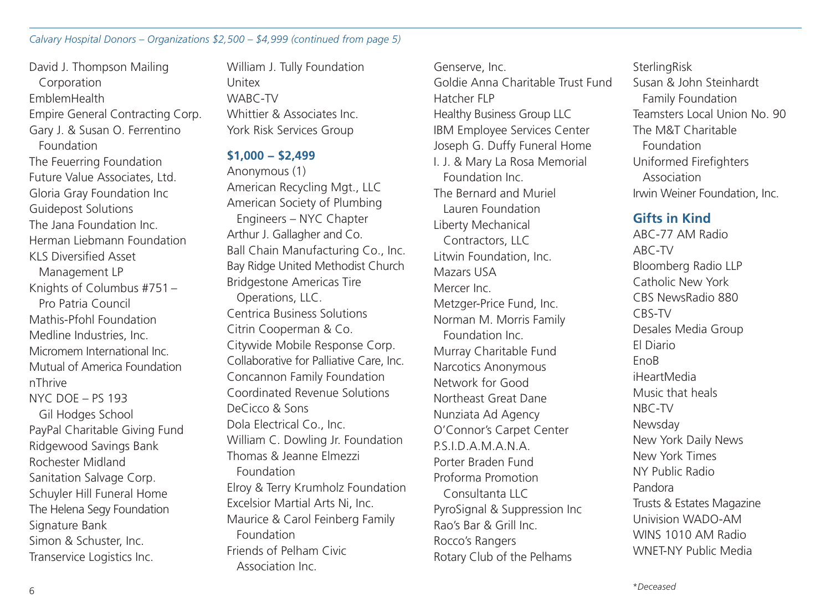#### *Calvary Hospital Donors – Organizations \$2,500 – \$4,999 (continued from page 5)*

David J. Thompson Mailing Corporation EmblemHealth Empire General Contracting Corp. Gary J. & Susan O. Ferrentino Foundation The Feuerring Foundation Future Value Associates, Ltd. Gloria Gray Foundation Inc Guidepost Solutions The Jana Foundation Inc. Herman Liebmann Foundation KLS Diversified Asset Management LP Knights of Columbus #751 – Pro Patria Council Mathis-Pfohl Foundation Medline Industries, Inc. Micromem International Inc. Mutual of America Foundation nThrive NYC DOE – PS 193 Gil Hodges School PayPal Charitable Giving Fund Ridgewood Savings Bank Rochester Midland Sanitation Salvage Corp. Schuyler Hill Funeral Home The Helena Segy Foundation Signature Bank Simon & Schuster, Inc. Transervice Logistics Inc.

William J. Tully Foundation Unitex WABC-TV Whittier & Associates Inc. York Risk Services Group

#### **\$1,000 − \$2,499**

Anonymous (1) American Recycling Mgt., LLC American Society of Plumbing Engineers – NYC Chapter Arthur J. Gallagher and Co. Ball Chain Manufacturing Co., Inc. Bay Ridge United Methodist Church Bridgestone Americas Tire Operations, LLC. Centrica Business Solutions Citrin Cooperman & Co. Citywide Mobile Response Corp. Collaborative for Palliative Care, Inc. Concannon Family Foundation Coordinated Revenue Solutions DeCicco & Sons Dola Electrical Co., Inc. William C. Dowling Jr. Foundation Thomas & Jeanne Elmezzi Foundation Elroy & Terry Krumholz Foundation Excelsior Martial Arts Ni, Inc. Maurice & Carol Feinberg Family Foundation Friends of Pelham Civic

Association Inc.

Goldie Anna Charitable Trust Fund Hatcher FLP Healthy Business Group LLC IBM Employee Services Center Joseph G. Duffy Funeral Home I. J. & Mary La Rosa Memorial Foundation Inc. The Bernard and Muriel Lauren Foundation Liberty Mechanical Contractors, LLC Litwin Foundation, Inc. Mazars USA Mercer Inc. Metzger-Price Fund, Inc. Norman M. Morris Family Foundation Inc. Murray Charitable Fund Narcotics Anonymous Network for Good Northeast Great Dane Nunziata Ad Agency O'Connor's Carpet Center P.S.I.D.A.M.A.N.A. Porter Braden Fund Proforma Promotion Consultanta LLC PyroSignal & Suppression Inc Rao's Bar & Grill Inc. Rocco's Rangers Rotary Club of the Pelhams

Genserve, Inc.

**SterlingRisk** Susan & John Steinhardt Family Foundation Teamsters Local Union No. 90 The M&T Charitable Foundation Uniformed Firefighters Association Irwin Weiner Foundation, Inc.

### **Gifts in Kind**

ABC-77 AM Radio ABC-TV Bloomberg Radio LLP Catholic New York CBS NewsRadio 880 CBS-TV Desales Media Group El Diario **EnoB** iHeartMedia Music that heals NBC-TV Newsday New York Daily News New York Times NY Public Radio Pandora Trusts & Estates Magazine Univision WADO-AM WINS 1010 AM Radio WNET-NY Public Media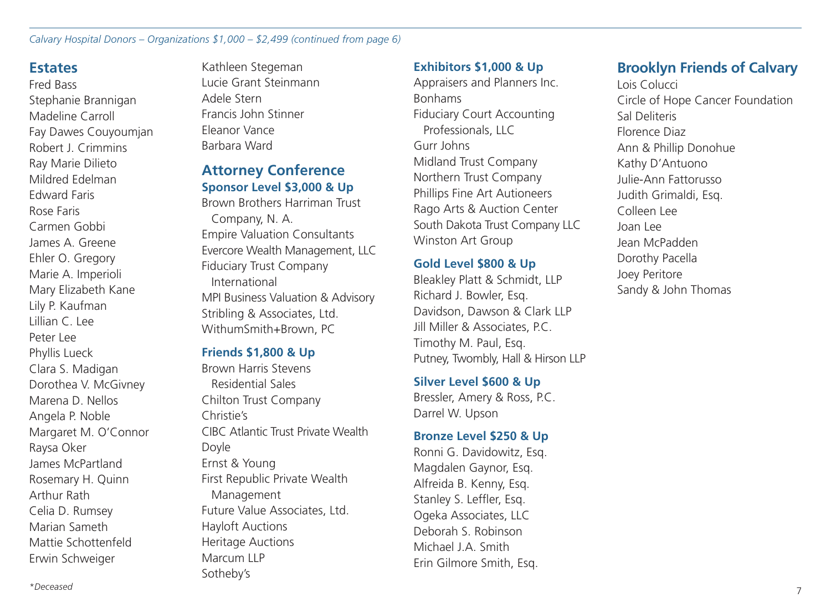*Calvary Hospital Donors – Organizations \$1,000 – \$2,499 (continued from page 6)* 

# **Estates**

Fred Bass Stephanie Brannigan Madeline Carroll Fay Dawes Couyoumjan Robert J. Crimmins Ray Marie Dilieto Mildred Edelman Edward Faris Rose Faris Carmen Gobbi James A. Greene Ehler O. Gregory Marie A. Imperioli Mary Elizabeth Kane Lily P. Kaufman Lillian C. Lee Peter Lee Phyllis Lueck Clara S. Madigan Dorothea V. McGivney Marena D. Nellos Angela P. Noble Margaret M. O'Connor Raysa Oker James McPartland Rosemary H. Quinn Arthur Rath Celia D. Rumsey Marian Sameth Mattie Schottenfeld Erwin Schweiger

Kathleen Stegeman Lucie Grant Steinmann Adele Stern Francis John Stinner Eleanor Vance Barbara Ward

# **Attorney Conference Sponsor Level \$3,000 & Up**

Brown Brothers Harriman Trust Company, N. A. Empire Valuation Consultants Evercore Wealth Management, LLC Fiduciary Trust Company International MPI Business Valuation & Advisory Stribling & Associates, Ltd. WithumSmith+Brown, PC

# **Friends \$1,800 & Up**

Brown Harris Stevens Residential Sales Chilton Trust Company Christie's CIBC Atlantic Trust Private Wealth Doyle Ernst & Young First Republic Private Wealth Management Future Value Associates, Ltd. Hayloft Auctions Heritage Auctions Marcum LLP Sotheby's

### **Exhibitors \$1,000 & Up**

Appraisers and Planners Inc. Bonhams Fiduciary Court Accounting Professionals, LLC Gurr Johns Midland Trust Company Northern Trust Company Phillips Fine Art Autioneers Rago Arts & Auction Center South Dakota Trust Company LLC Winston Art Group

### **Gold Level \$800 & Up**

Bleakley Platt & Schmidt, LLP Richard J. Bowler, Esq. Davidson, Dawson & Clark LLP Jill Miller & Associates, P.C. Timothy M. Paul, Esq. Putney, Twombly, Hall & Hirson LLP

### **Silver Level \$600 & Up**

Bressler, Amery & Ross, P.C. Darrel W. Upson

### **Bronze Level \$250 & Up**

Ronni G. Davidowitz, Esq. Magdalen Gaynor, Esq. Alfreida B. Kenny, Esq. Stanley S. Leffler, Esq. Ogeka Associates, LLC Deborah S. Robinson Michael J.A. Smith Erin Gilmore Smith, Esq.

# **Brooklyn Friends of Calvary**

Lois Colucci Circle of Hope Cancer Foundation Sal Deliteris Florence Diaz Ann & Phillip Donohue Kathy D'Antuono Julie-Ann Fattorusso Judith Grimaldi, Esq. Colleen Lee Joan Lee Jean McPadden Dorothy Pacella Joey Peritore Sandy & John Thomas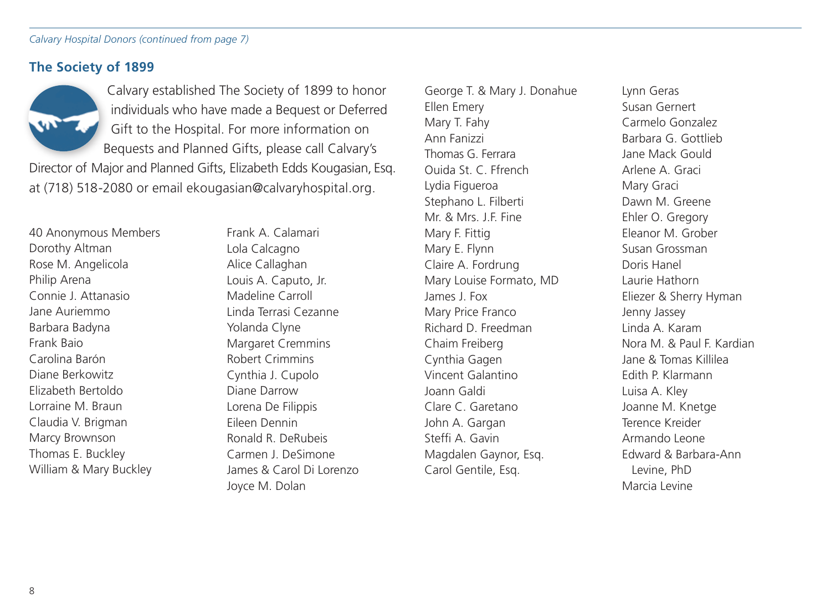*Calvary Hospital Donors (continued from page 7)*

# **The Society of 1899**



 Calvary established The Society of 1899 to honor individuals who have made a Bequest or Deferred Gift to the Hospital. For more information on Bequests and Planned Gifts, please call Calvary's

Director of Major and Planned Gifts, Elizabeth Edds Kougasian, Esq. at (718) 518-2080 or email ekougasian@calvaryhospital.org.

40 Anonymous Members Dorothy Altman Rose M. Angelicola Philip Arena Connie J. Attanasio Jane Auriemmo Barbara Badyna Frank Baio Carolina Barón Diane Berkowitz Elizabeth Bertoldo Lorraine M. Braun Claudia V. Brigman Marcy Brownson Thomas E. Buckley William & Mary Buckley

Frank A. Calamari Lola Calcagno Alice Callaghan Louis A. Caputo, Jr. Madeline Carroll Linda Terrasi Cezanne Yolanda Clyne Margaret Cremmins Robert Crimmins Cynthia J. Cupolo Diane Darrow Lorena De Filippis Eileen Dennin Ronald R. DeRubeis Carmen J. DeSimone James & Carol Di Lorenzo Joyce M. Dolan

George T. & Mary J. Donahue Ellen Emery Mary T. Fahy Ann Fanizzi Thomas G. Ferrara Ouida St. C. Ffrench Lydia Figueroa Stephano L. Filberti Mr. & Mrs. J.F. Fine Mary F. Fittig Mary E. Flynn Claire A. Fordrung Mary Louise Formato, MD James J. Fox Mary Price Franco Richard D. Freedman Chaim Freiberg Cynthia Gagen Vincent Galantino Joann Galdi Clare C. Garetano John A. Gargan Steffi A. Gavin Magdalen Gaynor, Esq. Carol Gentile, Esq.

Lynn Geras Susan Gernert Carmelo Gonzalez Barbara G. Gottlieb Jane Mack Gould Arlene A. Graci Mary Graci Dawn M. Greene Ehler O. Gregory Eleanor M. Grober Susan Grossman Doris Hanel Laurie Hathorn Eliezer & Sherry Hyman Jenny Jassey Linda A. Karam Nora M. & Paul F. Kardian Jane & Tomas Killilea Edith P. Klarmann Luisa A. Kley Joanne M. Knetge Terence Kreider Armando Leone Edward & Barbara-Ann Levine, PhD Marcia Levine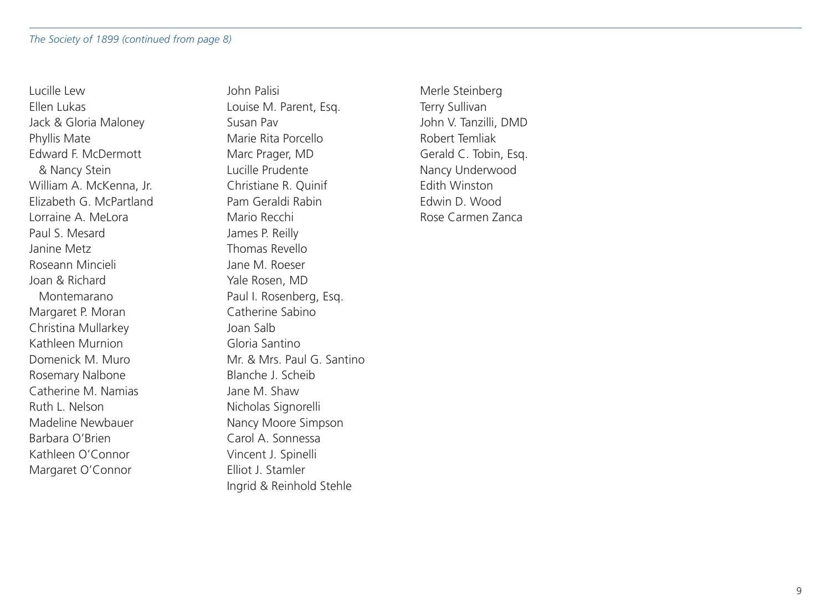Lucille Lew Ellen Lukas Jack & Gloria Maloney Phyllis Mate Edward F. McDermott & Nancy Stein William A. McKenna, Jr. Elizabeth G. McPartland Lorraine A. MeLora Paul S. Mesard Janine Metz Roseann Mincieli Joan & Richard Montemarano Margaret P. Moran Christina Mullarkey Kathleen Murnion Domenick M. Muro Rosemary Nalbone Catherine M. Namias Ruth L. Nelson Madeline Newbauer Barbara O'Brien Kathleen O'Connor Margaret O'Connor

John Palisi Louise M. Parent, Esq. Susan Pav Marie Rita Porcello Marc Prager, MD Lucille Prudente Christiane R. Quinif Pam Geraldi Rabin Mario Recchi James P. Reilly Thomas Revello Jane M. Roeser Yale Rosen, MD Paul I. Rosenberg, Esq. Catherine Sabino Joan Salb Gloria Santino Mr. & Mrs. Paul G. Santino Blanche J. Scheib Jane M. Shaw Nicholas Signorelli Nancy Moore Simpson Carol A. Sonnessa Vincent J. Spinelli Elliot J. Stamler Ingrid & Reinhold Stehle

Merle Steinberg Terry Sullivan John V. Tanzilli, DMD Robert Temliak Gerald C. Tobin, Esq. Nancy Underwood Edith Winston Edwin D. Wood Rose Carmen Zanca